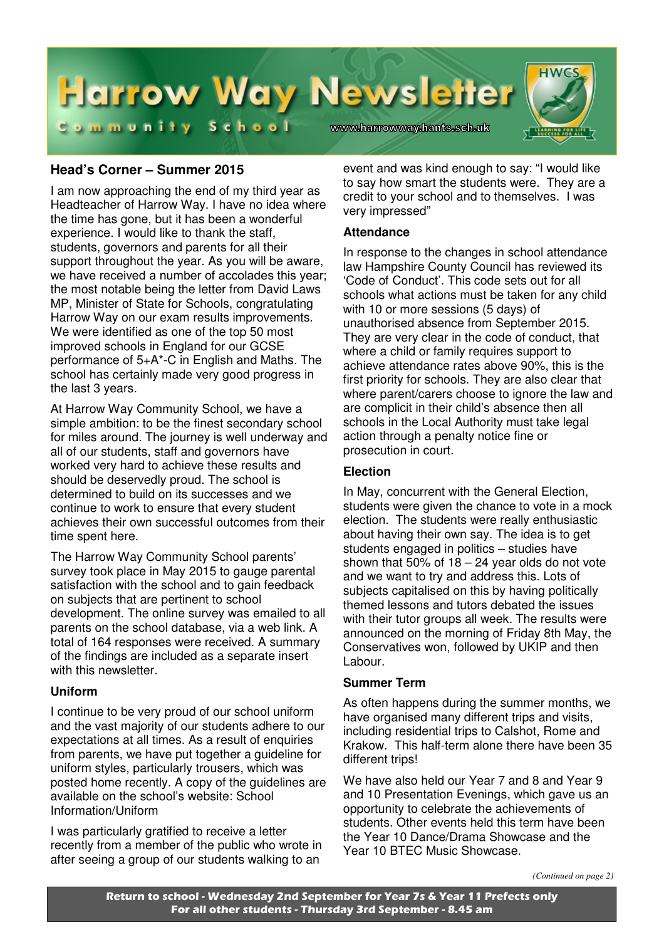

#### **Head's Corner – Summer 2015**

I am now approaching the end of my third year as Headteacher of Harrow Way. I have no idea where the time has gone, but it has been a wonderful experience. I would like to thank the staff, students, governors and parents for all their support throughout the year. As you will be aware, we have received a number of accolades this year; the most notable being the letter from David Laws MP, Minister of State for Schools, congratulating Harrow Way on our exam results improvements. We were identified as one of the top 50 most improved schools in England for our GCSE performance of 5+A\*-C in English and Maths. The school has certainly made very good progress in the last 3 years.

At Harrow Way Community School, we have a simple ambition: to be the finest secondary school for miles around. The journey is well underway and all of our students, staff and governors have worked very hard to achieve these results and should be deservedly proud. The school is determined to build on its successes and we continue to work to ensure that every student achieves their own successful outcomes from their time spent here.

The Harrow Way Community School parents' survey took place in May 2015 to gauge parental satisfaction with the school and to gain feedback on subjects that are pertinent to school development. The online survey was emailed to all parents on the school database, via a web link. A total of 164 responses were received. A summary of the findings are included as a separate insert with this newsletter.

#### **Uniform**

I continue to be very proud of our school uniform and the vast majority of our students adhere to our expectations at all times. As a result of enquiries from parents, we have put together a guideline for uniform styles, particularly trousers, which was posted home recently. A copy of the guidelines are available on the school's website: School Information/Uniform

I was particularly gratified to receive a letter recently from a member of the public who wrote in after seeing a group of our students walking to an

event and was kind enough to say: "I would like to say how smart the students were. They are a credit to your school and to themselves. I was very impressed"

#### **Attendance**

In response to the changes in school attendance law Hampshire County Council has reviewed its 'Code of Conduct'. This code sets out for all schools what actions must be taken for any child with 10 or more sessions (5 days) of unauthorised absence from September 2015. They are very clear in the code of conduct, that where a child or family requires support to achieve attendance rates above 90%, this is the first priority for schools. They are also clear that where parent/carers choose to ignore the law and are complicit in their child's absence then all schools in the Local Authority must take legal action through a penalty notice fine or prosecution in court.

#### **Election**

In May, concurrent with the General Election, students were given the chance to vote in a mock election. The students were really enthusiastic about having their own say. The idea is to get students engaged in politics – studies have shown that  $50\%$  of  $18 - 24$  year olds do not vote and we want to try and address this. Lots of subjects capitalised on this by having politically themed lessons and tutors debated the issues with their tutor groups all week. The results were announced on the morning of Friday 8th May, the Conservatives won, followed by UKIP and then Labour.

#### **Summer Term**

As often happens during the summer months, we have organised many different trips and visits. including residential trips to Calshot, Rome and Krakow. This half-term alone there have been 35 different trips!

We have also held our Year 7 and 8 and Year 9 and 10 Presentation Evenings, which gave us an opportunity to celebrate the achievements of students. Other events held this term have been the Year 10 Dance/Drama Showcase and the Year 10 BTEC Music Showcase.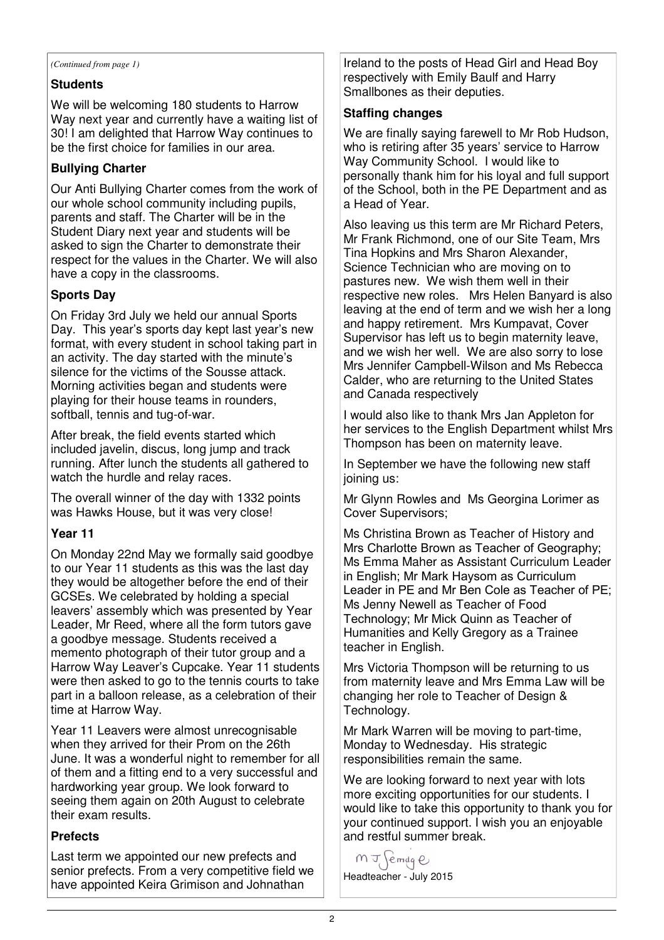#### **Students**

We will be welcoming 180 students to Harrow Way next year and currently have a waiting list of 30! I am delighted that Harrow Way continues to be the first choice for families in our area.

#### **Bullying Charter**

Our Anti Bullying Charter comes from the work of our whole school community including pupils, parents and staff. The Charter will be in the Student Diary next year and students will be asked to sign the Charter to demonstrate their respect for the values in the Charter. We will also have a copy in the classrooms.

#### **Sports Day**

On Friday 3rd July we held our annual Sports Day. This year's sports day kept last year's new format, with every student in school taking part in an activity. The day started with the minute's silence for the victims of the Sousse attack. Morning activities began and students were playing for their house teams in rounders, softball, tennis and tug-of-war.

After break, the field events started which included javelin, discus, long jump and track running. After lunch the students all gathered to watch the hurdle and relay races.

The overall winner of the day with 1332 points was Hawks House, but it was very close!

#### **Year 11**

On Monday 22nd May we formally said goodbye to our Year 11 students as this was the last day they would be altogether before the end of their GCSEs. We celebrated by holding a special leavers' assembly which was presented by Year Leader, Mr Reed, where all the form tutors gave a goodbye message. Students received a memento photograph of their tutor group and a Harrow Way Leaver's Cupcake. Year 11 students were then asked to go to the tennis courts to take part in a balloon release, as a celebration of their time at Harrow Way.

Year 11 Leavers were almost unrecognisable when they arrived for their Prom on the 26th June. It was a wonderful night to remember for all of them and a fitting end to a very successful and hardworking year group. We look forward to seeing them again on 20th August to celebrate their exam results.

#### **Prefects**

Last term we appointed our new prefects and senior prefects. From a very competitive field we have appointed Keira Grimison and Johnathan

*(Continued from page 1)* Ireland to the posts of Head Girl and Head Boy respectively with Emily Baulf and Harry Smallbones as their deputies.

#### **Staffing changes**

We are finally saying farewell to Mr Rob Hudson, who is retiring after 35 years' service to Harrow Way Community School. I would like to personally thank him for his loyal and full support of the School, both in the PE Department and as a Head of Year.

Also leaving us this term are Mr Richard Peters, Mr Frank Richmond, one of our Site Team, Mrs Tina Hopkins and Mrs Sharon Alexander, Science Technician who are moving on to pastures new. We wish them well in their respective new roles. Mrs Helen Banyard is also leaving at the end of term and we wish her a long and happy retirement. Mrs Kumpavat, Cover Supervisor has left us to begin maternity leave, and we wish her well. We are also sorry to lose Mrs Jennifer Campbell-Wilson and Ms Rebecca Calder, who are returning to the United States and Canada respectively

I would also like to thank Mrs Jan Appleton for her services to the English Department whilst Mrs Thompson has been on maternity leave.

In September we have the following new staff joining us:

Mr Glynn Rowles and Ms Georgina Lorimer as Cover Supervisors;

Ms Christina Brown as Teacher of History and Mrs Charlotte Brown as Teacher of Geography; Ms Emma Maher as Assistant Curriculum Leader in English; Mr Mark Haysom as Curriculum Leader in PE and Mr Ben Cole as Teacher of PE; Ms Jenny Newell as Teacher of Food Technology; Mr Mick Quinn as Teacher of Humanities and Kelly Gregory as a Trainee teacher in English.

Mrs Victoria Thompson will be returning to us from maternity leave and Mrs Emma Law will be changing her role to Teacher of Design & Technology.

Mr Mark Warren will be moving to part-time, Monday to Wednesday. His strategic responsibilities remain the same.

We are looking forward to next year with lots more exciting opportunities for our students. I would like to take this opportunity to thank you for your continued support. I wish you an enjoyable and restful summer break.

 $MJ$  emdqe Headteacher - July 2015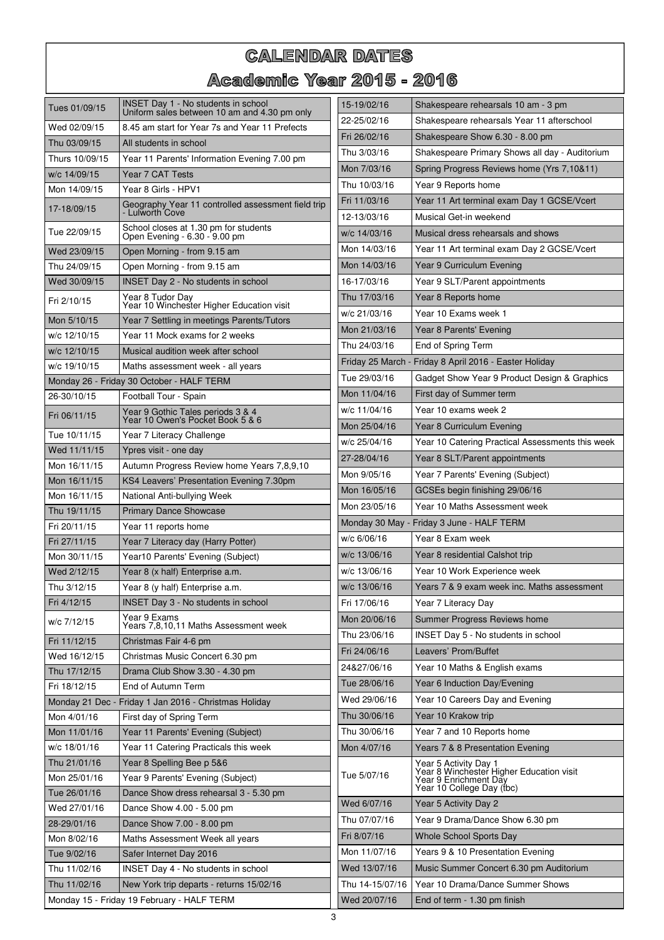# **CALENDAR DATES** Academic Year 2015 - 2016

| Tues 01/09/15                              | INSET Day 1 - No students in school<br>Uniform sales between 10 am and 4.30 pm only | 15-19/02/16     | Shakespeare rehearsals 10 am - 3 pm                                                                                     |
|--------------------------------------------|-------------------------------------------------------------------------------------|-----------------|-------------------------------------------------------------------------------------------------------------------------|
| Wed 02/09/15                               | 8.45 am start for Year 7s and Year 11 Prefects                                      | 22-25/02/16     | Shakespeare rehearsals Year 11 afterschool                                                                              |
| Thu 03/09/15                               | All students in school                                                              | Fri 26/02/16    | Shakespeare Show 6.30 - 8.00 pm                                                                                         |
| Thurs 10/09/15                             | Year 11 Parents' Information Evening 7.00 pm                                        | Thu 3/03/16     | Shakespeare Primary Shows all day - Auditorium                                                                          |
| w/c 14/09/15                               | Year 7 CAT Tests                                                                    | Mon 7/03/16     | Spring Progress Reviews home (Yrs 7,10&11)                                                                              |
| Mon 14/09/15                               | Year 8 Girls - HPV1                                                                 | Thu 10/03/16    | Year 9 Reports home                                                                                                     |
| 17-18/09/15                                | Geography Year 11 controlled assessment field trip                                  | Fri 11/03/16    | Year 11 Art terminal exam Day 1 GCSE/Vcert                                                                              |
|                                            | Lulworth Cove                                                                       | 12-13/03/16     | Musical Get-in weekend                                                                                                  |
| Tue 22/09/15                               | School closes at 1.30 pm for students<br>Open Evening - 6.30 - 9.00 pm              | w/c 14/03/16    | Musical dress rehearsals and shows                                                                                      |
| Wed 23/09/15                               | Open Morning - from 9.15 am                                                         | Mon 14/03/16    | Year 11 Art terminal exam Day 2 GCSE/Vcert                                                                              |
| Thu 24/09/15                               | Open Morning - from 9.15 am                                                         | Mon 14/03/16    | Year 9 Curriculum Evening                                                                                               |
| Wed 30/09/15                               | <b>INSET Day 2 - No students in school</b>                                          | 16-17/03/16     | Year 9 SLT/Parent appointments                                                                                          |
| Fri 2/10/15                                | Year 8 Tudor Day<br>Year 10 Winchester Higher Education visit                       | Thu 17/03/16    | Year 8 Reports home                                                                                                     |
| Mon 5/10/15                                | Year 7 Settling in meetings Parents/Tutors                                          | w/c 21/03/16    | Year 10 Exams week 1                                                                                                    |
| w/c 12/10/15                               | Year 11 Mock exams for 2 weeks                                                      | Mon 21/03/16    | Year 8 Parents' Evening                                                                                                 |
| w/c 12/10/15                               | Musical audition week after school                                                  | Thu 24/03/16    | End of Spring Term                                                                                                      |
| w/c 19/10/15                               | Maths assessment week - all years                                                   |                 | Friday 25 March - Friday 8 April 2016 - Easter Holiday                                                                  |
|                                            | Monday 26 - Friday 30 October - HALF TERM                                           | Tue 29/03/16    | Gadget Show Year 9 Product Design & Graphics                                                                            |
| 26-30/10/15                                | Football Tour - Spain                                                               | Mon 11/04/16    | First day of Summer term                                                                                                |
| Fri 06/11/15                               | Year 9 Gothic Tales periods 3 & 4<br>Year 10 Owen's Pocket Book 5 & 6               | w/c 11/04/16    | Year 10 exams week 2                                                                                                    |
|                                            |                                                                                     | Mon 25/04/16    | Year 8 Curriculum Evening                                                                                               |
| Tue 10/11/15                               | Year 7 Literacy Challenge                                                           | w/c 25/04/16    | Year 10 Catering Practical Assessments this week                                                                        |
| Wed 11/11/15                               | Ypres visit - one day                                                               | 27-28/04/16     | Year 8 SLT/Parent appointments                                                                                          |
| Mon 16/11/15                               | Autumn Progress Review home Years 7,8,9,10                                          | Mon 9/05/16     | Year 7 Parents' Evening (Subject)                                                                                       |
| Mon 16/11/15                               | KS4 Leavers' Presentation Evening 7.30pm                                            | Mon 16/05/16    | GCSEs begin finishing 29/06/16                                                                                          |
| Mon 16/11/15<br>Thu 19/11/15               | National Anti-bullying Week<br><b>Primary Dance Showcase</b>                        | Mon 23/05/16    | Year 10 Maths Assessment week                                                                                           |
| Fri 20/11/15                               | Year 11 reports home                                                                |                 | Monday 30 May - Friday 3 June - HALF TERM                                                                               |
| Fri 27/11/15                               | Year 7 Literacy day (Harry Potter)                                                  | w/c 6/06/16     | Year 8 Exam week                                                                                                        |
| Mon 30/11/15                               | Year10 Parents' Evening (Subject)                                                   | w/c 13/06/16    | Year 8 residential Calshot trip                                                                                         |
| Wed 2/12/15                                | Year 8 (x half) Enterprise a.m.                                                     | w/c 13/06/16    | Year 10 Work Experience week                                                                                            |
| Thu 3/12/15                                | Year 8 (y half) Enterprise a.m.                                                     | w/c 13/06/16    | Years 7 & 9 exam week inc. Maths assessment                                                                             |
| Fri 4/12/15                                | INSET Day 3 - No students in school                                                 | Fri 17/06/16    | Year 7 Literacy Day                                                                                                     |
|                                            | Year 9 Exams                                                                        | Mon 20/06/16    | Summer Progress Reviews home                                                                                            |
| w/c 7/12/15                                | Years 7,8,10,11 Maths Assessment week                                               | Thu 23/06/16    | INSET Day 5 - No students in school                                                                                     |
| Fri 11/12/15                               | Christmas Fair 4-6 pm                                                               | Fri 24/06/16    | Leavers' Prom/Buffet                                                                                                    |
| Wed 16/12/15                               | Christmas Music Concert 6.30 pm                                                     |                 |                                                                                                                         |
| Thu 17/12/15                               | Drama Club Show 3.30 - 4.30 pm                                                      | 24&27/06/16     | Year 10 Maths & English exams                                                                                           |
| Fri 18/12/15                               | End of Autumn Term                                                                  | Tue 28/06/16    | Year 6 Induction Day/Evening                                                                                            |
|                                            | Monday 21 Dec - Friday 1 Jan 2016 - Christmas Holiday                               | Wed 29/06/16    | Year 10 Careers Day and Evening                                                                                         |
| Mon 4/01/16                                | First day of Spring Term                                                            | Thu 30/06/16    | Year 10 Krakow trip                                                                                                     |
| Mon 11/01/16                               | Year 11 Parents' Evening (Subject)                                                  | Thu 30/06/16    | Year 7 and 10 Reports home                                                                                              |
| w/c 18/01/16                               | Year 11 Catering Practicals this week                                               | Mon 4/07/16     | Years 7 & 8 Presentation Evening                                                                                        |
| Thu 21/01/16                               | Year 8 Spelling Bee p 5&6                                                           | Tue 5/07/16     | Year 5 Activity Day 1<br>Year 8 Winchester Higher Education visit<br>Year 9 Enrichment Day<br>Year 10 College Day (tbc) |
| Mon 25/01/16                               | Year 9 Parents' Evening (Subject)                                                   |                 |                                                                                                                         |
| Tue 26/01/16                               | Dance Show dress rehearsal 3 - 5.30 pm                                              | Wed 6/07/16     | Year 5 Activity Day 2                                                                                                   |
| Wed 27/01/16                               | Dance Show 4.00 - 5.00 pm                                                           | Thu 07/07/16    | Year 9 Drama/Dance Show 6.30 pm                                                                                         |
| 28-29/01/16<br>Mon 8/02/16                 | Dance Show 7.00 - 8.00 pm                                                           | Fri 8/07/16     | Whole School Sports Day                                                                                                 |
| Tue 9/02/16                                | Maths Assessment Week all years                                                     | Mon 11/07/16    | Years 9 & 10 Presentation Evening                                                                                       |
| Thu 11/02/16                               | Safer Internet Day 2016<br>INSET Day 4 - No students in school                      | Wed 13/07/16    | Music Summer Concert 6.30 pm Auditorium                                                                                 |
| Thu 11/02/16                               | New York trip departs - returns 15/02/16                                            | Thu 14-15/07/16 | Year 10 Drama/Dance Summer Shows                                                                                        |
|                                            |                                                                                     | Wed 20/07/16    | End of term - 1.30 pm finish                                                                                            |
| Monday 15 - Friday 19 February - HALF TERM |                                                                                     |                 |                                                                                                                         |